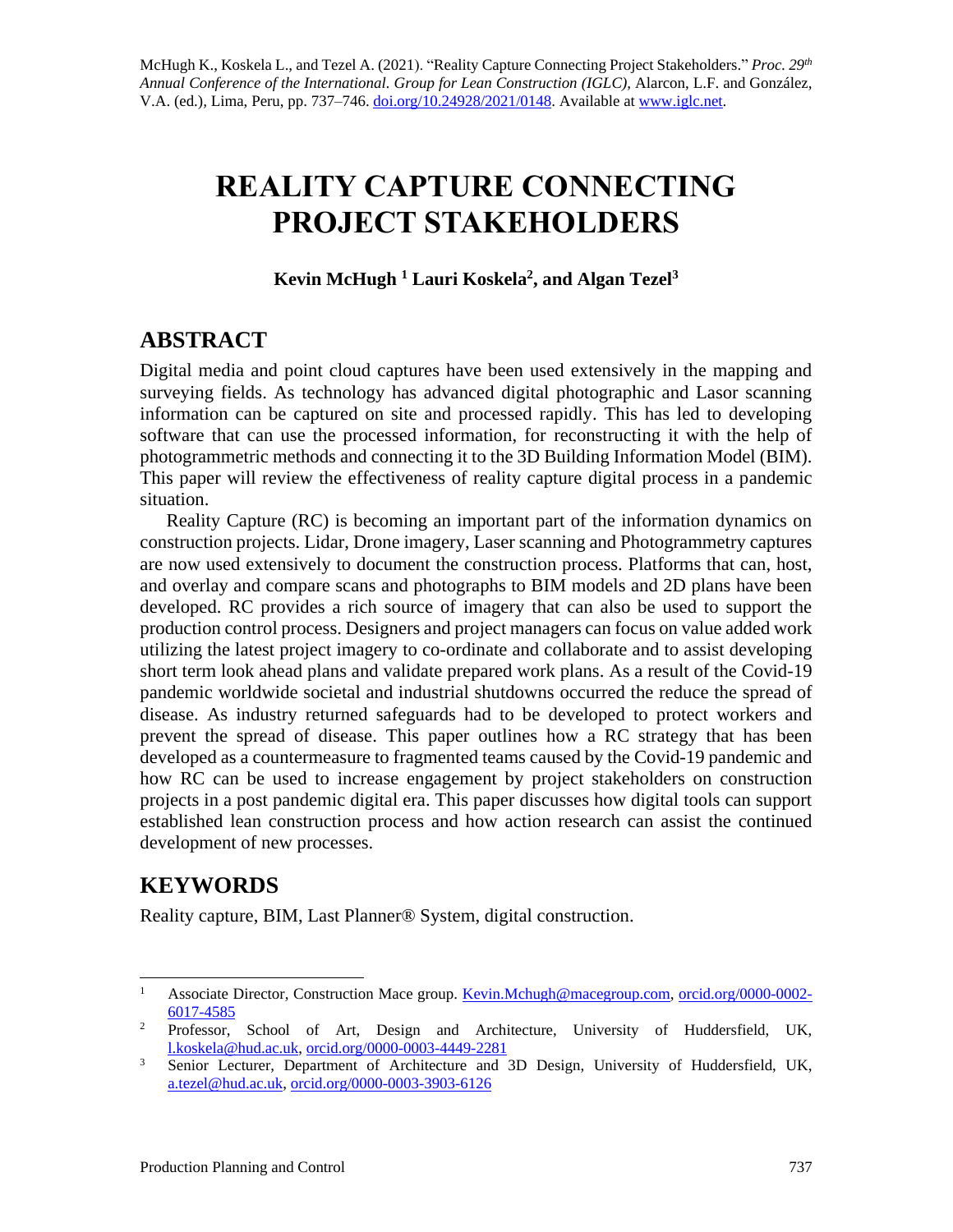# **REALITY CAPTURE CONNECTING PROJECT STAKEHOLDERS**

#### **Kevin McHugh <sup>1</sup> Lauri Koskela<sup>2</sup> , and Algan Tezel<sup>3</sup>**

# **ABSTRACT**

Digital media and point cloud captures have been used extensively in the mapping and surveying fields. As technology has advanced digital photographic and Lasor scanning information can be captured on site and processed rapidly. This has led to developing software that can use the processed information, for reconstructing it with the help of photogrammetric methods and connecting it to the 3D Building Information Model (BIM). This paper will review the effectiveness of reality capture digital process in a pandemic situation.

Reality Capture (RC) is becoming an important part of the information dynamics on construction projects. Lidar, Drone imagery, Laser scanning and Photogrammetry captures are now used extensively to document the construction process. Platforms that can, host, and overlay and compare scans and photographs to BIM models and 2D plans have been developed. RC provides a rich source of imagery that can also be used to support the production control process. Designers and project managers can focus on value added work utilizing the latest project imagery to co-ordinate and collaborate and to assist developing short term look ahead plans and validate prepared work plans. As a result of the Covid-19 pandemic worldwide societal and industrial shutdowns occurred the reduce the spread of disease. As industry returned safeguards had to be developed to protect workers and prevent the spread of disease. This paper outlines how a RC strategy that has been developed as a countermeasure to fragmented teams caused by the Covid-19 pandemic and how RC can be used to increase engagement by project stakeholders on construction projects in a post pandemic digital era. This paper discusses how digital tools can support established lean construction process and how action research can assist the continued development of new processes.

# **KEYWORDS**

Reality capture, BIM, Last Planner® System, digital construction.

<sup>&</sup>lt;sup>1</sup> Associate Director, Construction Mace group. [Kevin.Mchugh@macegroup.com,](mailto:Kevin.Mchugh@macegroup.com) [orcid.org/0000-0002-](https://orcid.org/0000-0002-6017-4585) [6017-4585](https://orcid.org/0000-0002-6017-4585)

<sup>&</sup>lt;sup>2</sup> Professor, School of Art, Design and Architecture, University of Huddersfield, UK, [l.koskela@hud.ac.uk,](mailto:l.koskela@hud.ac.uk) [orcid.org/0000-0003-4449-2281](https://orcid.org/0000-0003-4449-2281)

<sup>&</sup>lt;sup>3</sup> Senior Lecturer, Department of Architecture and <sup>3D</sup> Design, University of Huddersfield, UK, [a.tezel@hud.ac.uk,](mailto:a.tezel@hud.ac.uk) [orcid.org/0000-0003-3903-6126](https://orcid.org/0000-0003-3903-6126)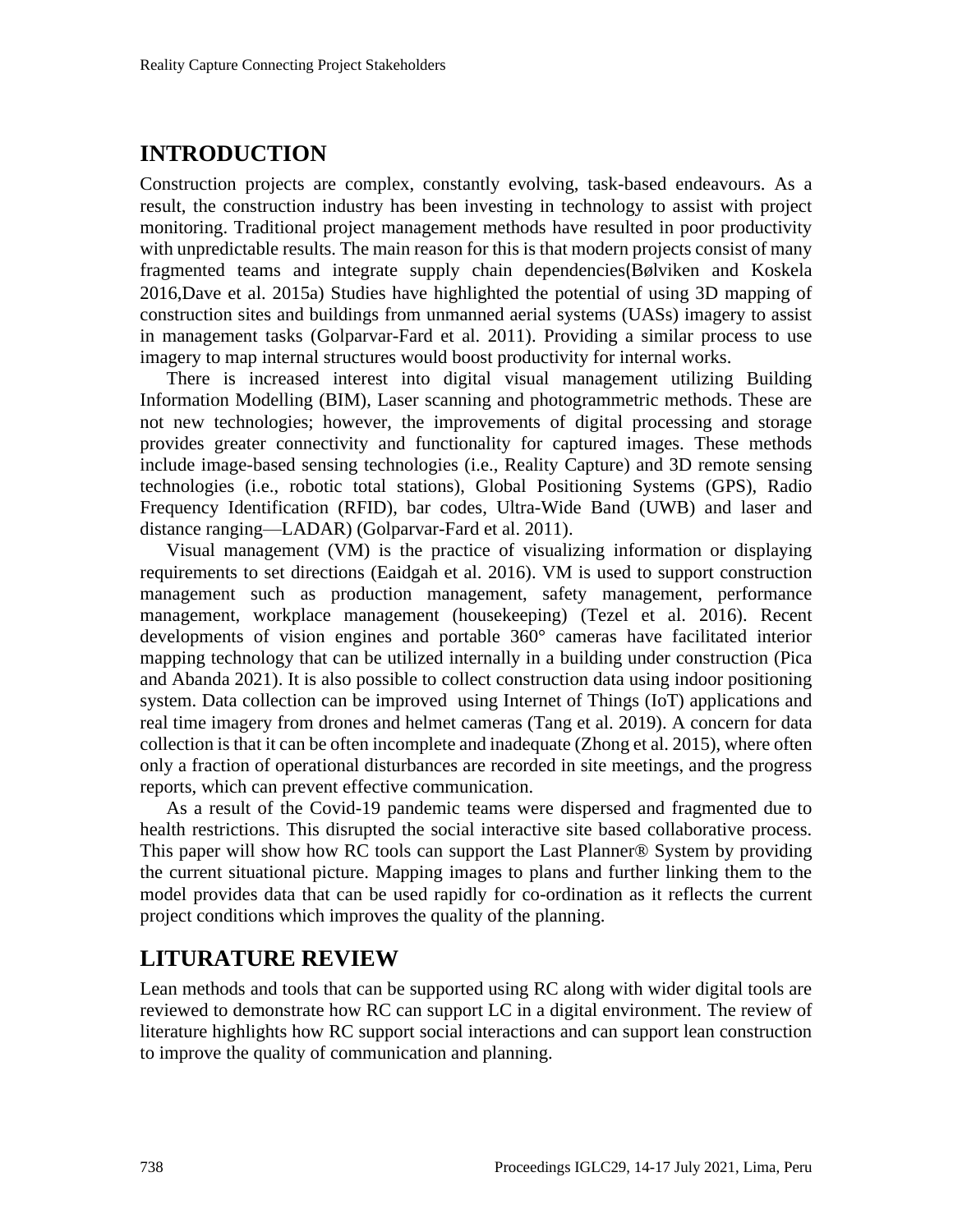### **INTRODUCTION**

Construction projects are complex, constantly evolving, task-based endeavours. As a result, the construction industry has been investing in technology to assist with project monitoring. Traditional project management methods have resulted in poor productivity with unpredictable results. The main reason for this is that modern projects consist of many fragmented teams and integrate supply chain dependencies(Bølviken and Koskela 2016,Dave et al. 2015a) Studies have highlighted the potential of using 3D mapping of construction sites and buildings from unmanned aerial systems (UASs) imagery to assist in management tasks (Golparvar-Fard et al. 2011). Providing a similar process to use imagery to map internal structures would boost productivity for internal works.

There is increased interest into digital visual management utilizing Building Information Modelling (BIM), Laser scanning and photogrammetric methods. These are not new technologies; however, the improvements of digital processing and storage provides greater connectivity and functionality for captured images. These methods include image-based sensing technologies (i.e., Reality Capture) and 3D remote sensing technologies (i.e., robotic total stations), Global Positioning Systems (GPS), Radio Frequency Identification (RFID), bar codes, Ultra-Wide Band (UWB) and laser and distance ranging—LADAR) (Golparvar-Fard et al. 2011).

Visual management (VM) is the practice of visualizing information or displaying requirements to set directions (Eaidgah et al. 2016). VM is used to support construction management such as production management, safety management, performance management, workplace management (housekeeping) (Tezel et al. 2016). Recent developments of vision engines and portable 360° cameras have facilitated interior mapping technology that can be utilized internally in a building under construction (Pica and Abanda 2021). It is also possible to collect construction data using indoor positioning system. Data collection can be improved using Internet of Things (IoT) applications and real time imagery from drones and helmet cameras (Tang et al. 2019). A concern for data collection is that it can be often incomplete and inadequate (Zhong et al. 2015), where often only a fraction of operational disturbances are recorded in site meetings, and the progress reports, which can prevent effective communication.

As a result of the Covid-19 pandemic teams were dispersed and fragmented due to health restrictions. This disrupted the social interactive site based collaborative process. This paper will show how RC tools can support the Last Planner® System by providing the current situational picture. Mapping images to plans and further linking them to the model provides data that can be used rapidly for co-ordination as it reflects the current project conditions which improves the quality of the planning.

## **LITURATURE REVIEW**

Lean methods and tools that can be supported using RC along with wider digital tools are reviewed to demonstrate how RC can support LC in a digital environment. The review of literature highlights how RC support social interactions and can support lean construction to improve the quality of communication and planning.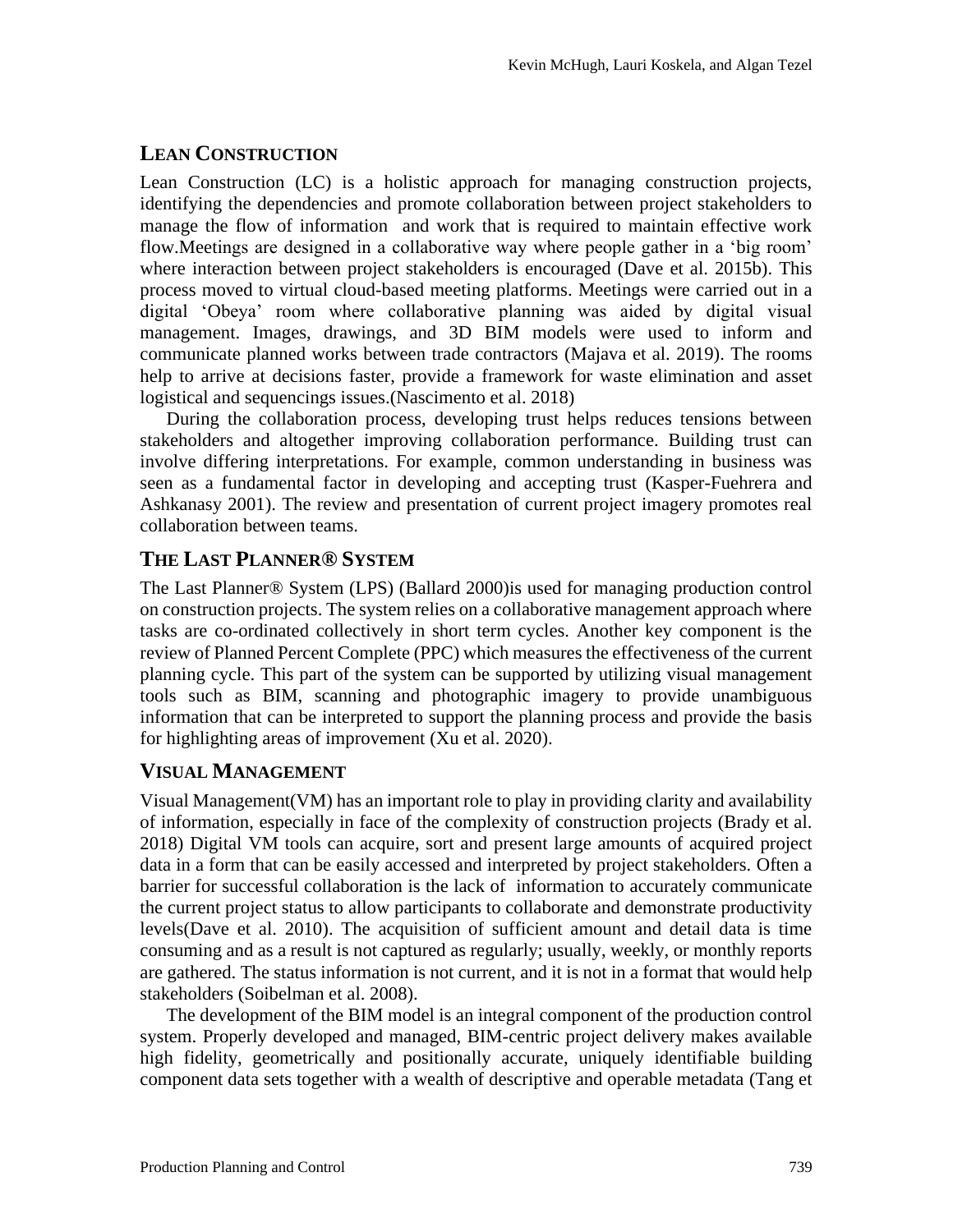### **LEAN CONSTRUCTION**

Lean Construction (LC) is a holistic approach for managing construction projects, identifying the dependencies and promote collaboration between project stakeholders to manage the flow of information and work that is required to maintain effective work flow.Meetings are designed in a collaborative way where people gather in a 'big room' where interaction between project stakeholders is encouraged (Dave et al. 2015b). This process moved to virtual cloud-based meeting platforms. Meetings were carried out in a digital 'Obeya' room where collaborative planning was aided by digital visual management. Images, drawings, and 3D BIM models were used to inform and communicate planned works between trade contractors (Majava et al. 2019). The rooms help to arrive at decisions faster, provide a framework for waste elimination and asset logistical and sequencings issues.(Nascimento et al. 2018)

During the collaboration process, developing trust helps reduces tensions between stakeholders and altogether improving collaboration performance. Building trust can involve differing interpretations. For example, common understanding in business was seen as a fundamental factor in developing and accepting trust (Kasper-Fuehrera and Ashkanasy 2001). The review and presentation of current project imagery promotes real collaboration between teams.

### **THE LAST PLANNER® SYSTEM**

The Last Planner® System (LPS) (Ballard 2000)is used for managing production control on construction projects. The system relies on a collaborative management approach where tasks are co-ordinated collectively in short term cycles. Another key component is the review of Planned Percent Complete (PPC) which measures the effectiveness of the current planning cycle. This part of the system can be supported by utilizing visual management tools such as BIM, scanning and photographic imagery to provide unambiguous information that can be interpreted to support the planning process and provide the basis for highlighting areas of improvement (Xu et al. 2020).

### **VISUAL MANAGEMENT**

Visual Management(VM) has an important role to play in providing clarity and availability of information, especially in face of the complexity of construction projects (Brady et al. 2018) Digital VM tools can acquire, sort and present large amounts of acquired project data in a form that can be easily accessed and interpreted by project stakeholders. Often a barrier for successful collaboration is the lack of information to accurately communicate the current project status to allow participants to collaborate and demonstrate productivity levels(Dave et al. 2010). The acquisition of sufficient amount and detail data is time consuming and as a result is not captured as regularly; usually, weekly, or monthly reports are gathered. The status information is not current, and it is not in a format that would help stakeholders (Soibelman et al. 2008).

The development of the BIM model is an integral component of the production control system. Properly developed and managed, BIM-centric project delivery makes available high fidelity, geometrically and positionally accurate, uniquely identifiable building component data sets together with a wealth of descriptive and operable metadata (Tang et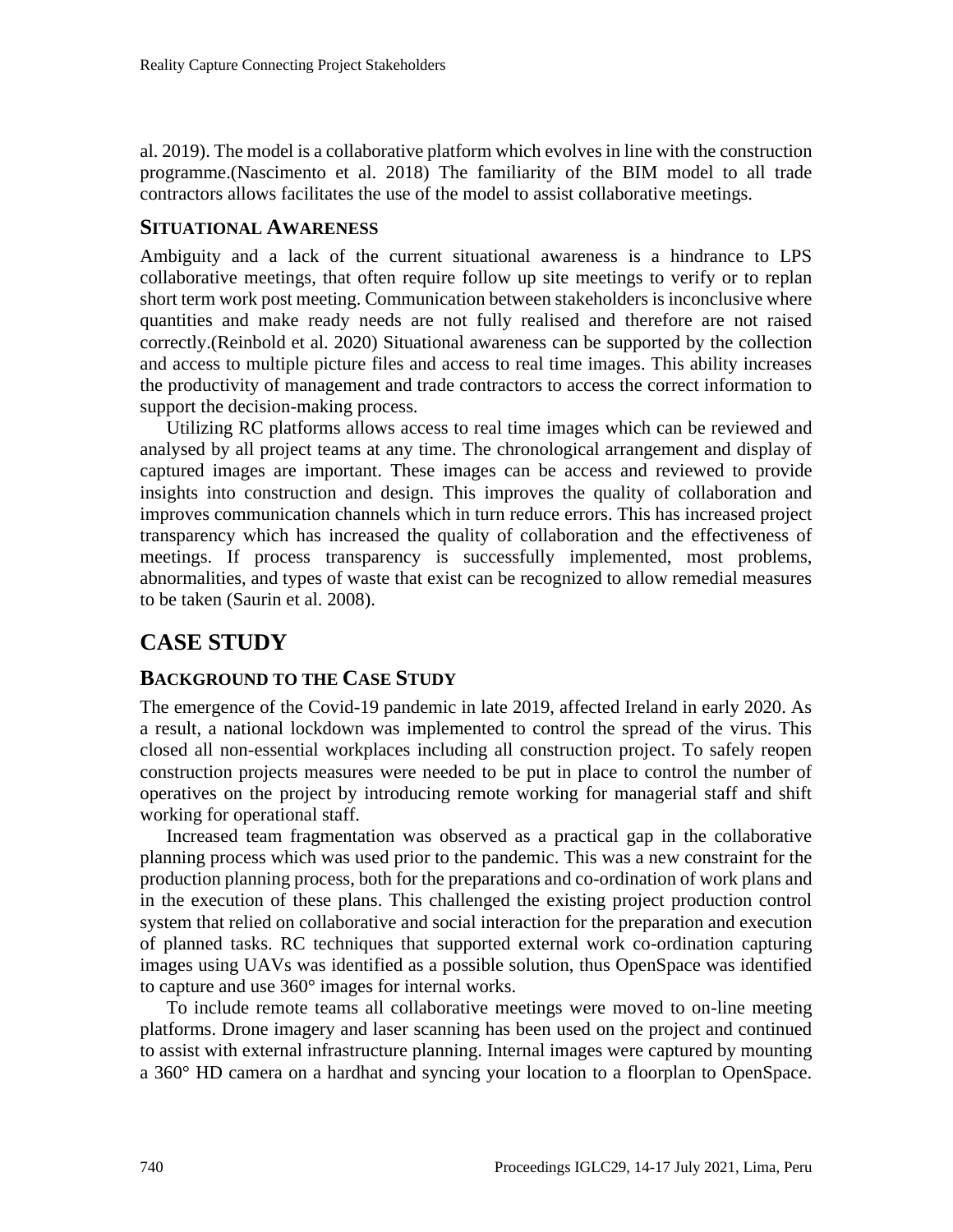al. 2019). The model is a collaborative platform which evolves in line with the construction programme.(Nascimento et al. 2018) The familiarity of the BIM model to all trade contractors allows facilitates the use of the model to assist collaborative meetings.

#### **SITUATIONAL AWARENESS**

Ambiguity and a lack of the current situational awareness is a hindrance to LPS collaborative meetings, that often require follow up site meetings to verify or to replan short term work post meeting. Communication between stakeholders is inconclusive where quantities and make ready needs are not fully realised and therefore are not raised correctly.(Reinbold et al. 2020) Situational awareness can be supported by the collection and access to multiple picture files and access to real time images. This ability increases the productivity of management and trade contractors to access the correct information to support the decision-making process.

Utilizing RC platforms allows access to real time images which can be reviewed and analysed by all project teams at any time. The chronological arrangement and display of captured images are important. These images can be access and reviewed to provide insights into construction and design. This improves the quality of collaboration and improves communication channels which in turn reduce errors. This has increased project transparency which has increased the quality of collaboration and the effectiveness of meetings. If process transparency is successfully implemented, most problems, abnormalities, and types of waste that exist can be recognized to allow remedial measures to be taken (Saurin et al. 2008).

# **CASE STUDY**

#### **BACKGROUND TO THE CASE STUDY**

The emergence of the Covid-19 pandemic in late 2019, affected Ireland in early 2020. As a result, a national lockdown was implemented to control the spread of the virus. This closed all non-essential workplaces including all construction project. To safely reopen construction projects measures were needed to be put in place to control the number of operatives on the project by introducing remote working for managerial staff and shift working for operational staff.

Increased team fragmentation was observed as a practical gap in the collaborative planning process which was used prior to the pandemic. This was a new constraint for the production planning process, both for the preparations and co-ordination of work plans and in the execution of these plans. This challenged the existing project production control system that relied on collaborative and social interaction for the preparation and execution of planned tasks. RC techniques that supported external work co-ordination capturing images using UAVs was identified as a possible solution, thus OpenSpace was identified to capture and use 360° images for internal works.

To include remote teams all collaborative meetings were moved to on-line meeting platforms. Drone imagery and laser scanning has been used on the project and continued to assist with external infrastructure planning. Internal images were captured by mounting a 360° HD camera on a hardhat and syncing your location to a floorplan to OpenSpace.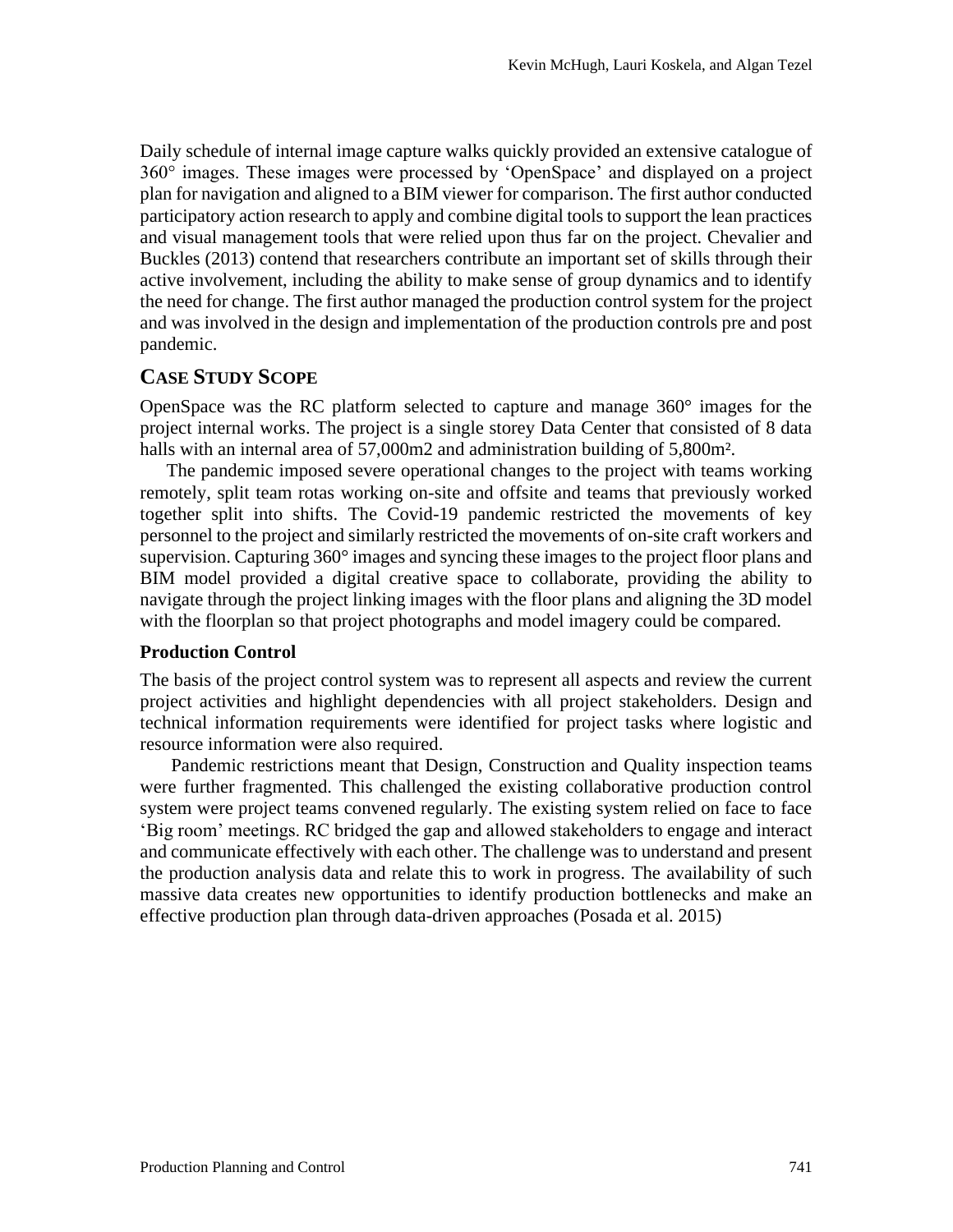Daily schedule of internal image capture walks quickly provided an extensive catalogue of 360° images. These images were processed by 'OpenSpace' and displayed on a project plan for navigation and aligned to a BIM viewer for comparison. The first author conducted participatory action research to apply and combine digital tools to support the lean practices and visual management tools that were relied upon thus far on the project. Chevalier and Buckles (2013) contend that researchers contribute an important set of skills through their active involvement, including the ability to make sense of group dynamics and to identify the need for change. The first author managed the production control system for the project and was involved in the design and implementation of the production controls pre and post pandemic.

#### **CASE STUDY SCOPE**

OpenSpace was the RC platform selected to capture and manage 360° images for the project internal works. The project is a single storey Data Center that consisted of 8 data halls with an internal area of 57,000m2 and administration building of 5,800m<sup>2</sup>.

The pandemic imposed severe operational changes to the project with teams working remotely, split team rotas working on-site and offsite and teams that previously worked together split into shifts. The Covid-19 pandemic restricted the movements of key personnel to the project and similarly restricted the movements of on-site craft workers and supervision. Capturing 360° images and syncing these images to the project floor plans and BIM model provided a digital creative space to collaborate, providing the ability to navigate through the project linking images with the floor plans and aligning the 3D model with the floorplan so that project photographs and model imagery could be compared.

#### **Production Control**

The basis of the project control system was to represent all aspects and review the current project activities and highlight dependencies with all project stakeholders. Design and technical information requirements were identified for project tasks where logistic and resource information were also required.

Pandemic restrictions meant that Design, Construction and Quality inspection teams were further fragmented. This challenged the existing collaborative production control system were project teams convened regularly. The existing system relied on face to face 'Big room' meetings. RC bridged the gap and allowed stakeholders to engage and interact and communicate effectively with each other. The challenge was to understand and present the production analysis data and relate this to work in progress. The availability of such massive data creates new opportunities to identify production bottlenecks and make an effective production plan through data-driven approaches (Posada et al. 2015)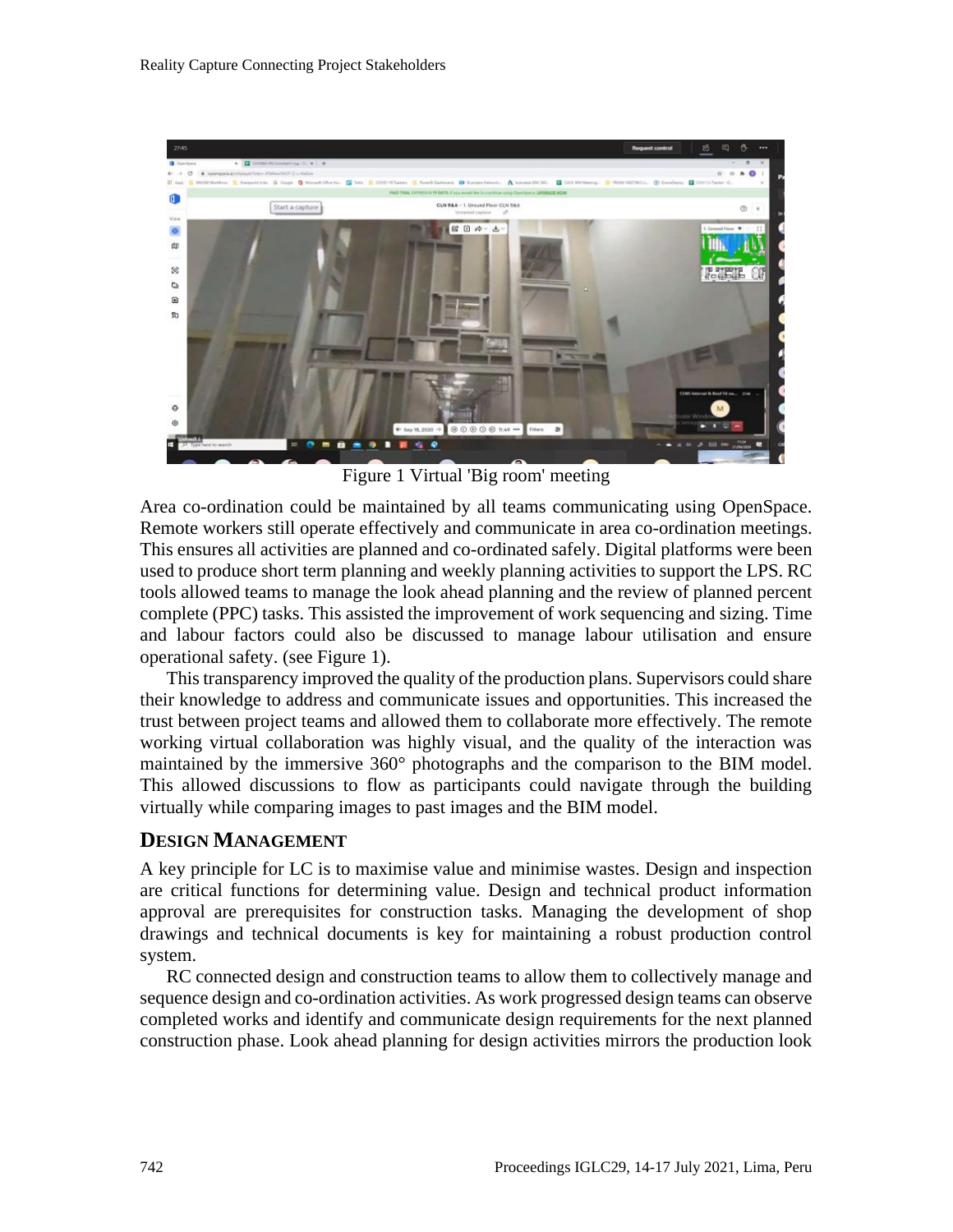

Figure 1 Virtual 'Big room' meeting

Area co-ordination could be maintained by all teams communicating using OpenSpace. Remote workers still operate effectively and communicate in area co-ordination meetings. This ensures all activities are planned and co-ordinated safely. Digital platforms were been used to produce short term planning and weekly planning activities to support the LPS. RC tools allowed teams to manage the look ahead planning and the review of planned percent complete (PPC) tasks. This assisted the improvement of work sequencing and sizing. Time and labour factors could also be discussed to manage labour utilisation and ensure operational safety. (see Figure 1).

This transparency improved the quality of the production plans. Supervisors could share their knowledge to address and communicate issues and opportunities. This increased the trust between project teams and allowed them to collaborate more effectively. The remote working virtual collaboration was highly visual, and the quality of the interaction was maintained by the immersive 360° photographs and the comparison to the BIM model. This allowed discussions to flow as participants could navigate through the building virtually while comparing images to past images and the BIM model.

#### **DESIGN MANAGEMENT**

A key principle for LC is to maximise value and minimise wastes. Design and inspection are critical functions for determining value. Design and technical product information approval are prerequisites for construction tasks. Managing the development of shop drawings and technical documents is key for maintaining a robust production control system.

RC connected design and construction teams to allow them to collectively manage and sequence design and co-ordination activities. As work progressed design teams can observe completed works and identify and communicate design requirements for the next planned construction phase. Look ahead planning for design activities mirrors the production look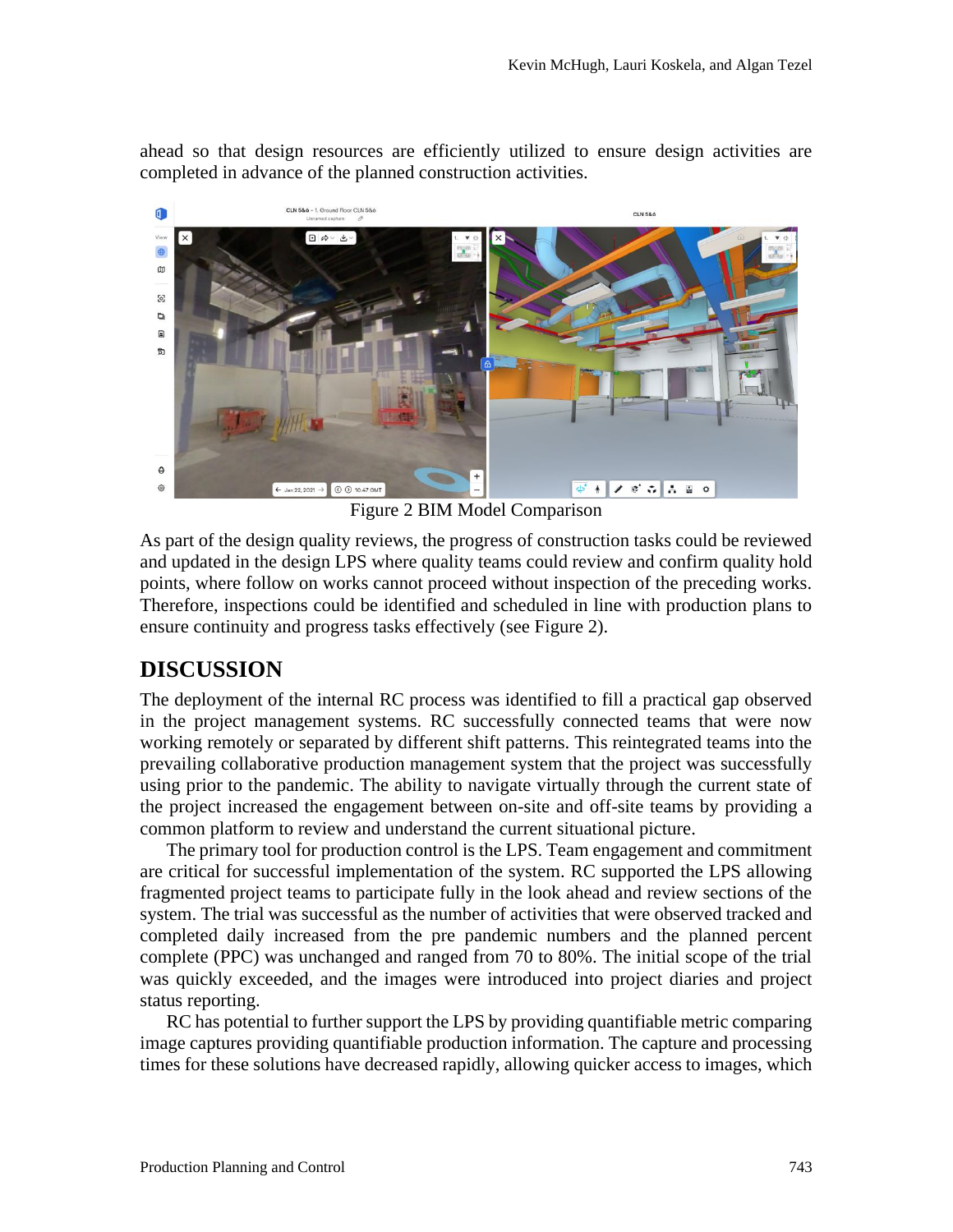ahead so that design resources are efficiently utilized to ensure design activities are completed in advance of the planned construction activities.



Figure 2 BIM Model Comparison

As part of the design quality reviews, the progress of construction tasks could be reviewed and updated in the design LPS where quality teams could review and confirm quality hold points, where follow on works cannot proceed without inspection of the preceding works. Therefore, inspections could be identified and scheduled in line with production plans to ensure continuity and progress tasks effectively (see Figure 2).

# **DISCUSSION**

The deployment of the internal RC process was identified to fill a practical gap observed in the project management systems. RC successfully connected teams that were now working remotely or separated by different shift patterns. This reintegrated teams into the prevailing collaborative production management system that the project was successfully using prior to the pandemic. The ability to navigate virtually through the current state of the project increased the engagement between on-site and off-site teams by providing a common platform to review and understand the current situational picture.

The primary tool for production control is the LPS. Team engagement and commitment are critical for successful implementation of the system. RC supported the LPS allowing fragmented project teams to participate fully in the look ahead and review sections of the system. The trial was successful as the number of activities that were observed tracked and completed daily increased from the pre pandemic numbers and the planned percent complete (PPC) was unchanged and ranged from 70 to 80%. The initial scope of the trial was quickly exceeded, and the images were introduced into project diaries and project status reporting.

RC has potential to further support the LPS by providing quantifiable metric comparing image captures providing quantifiable production information. The capture and processing times for these solutions have decreased rapidly, allowing quicker access to images, which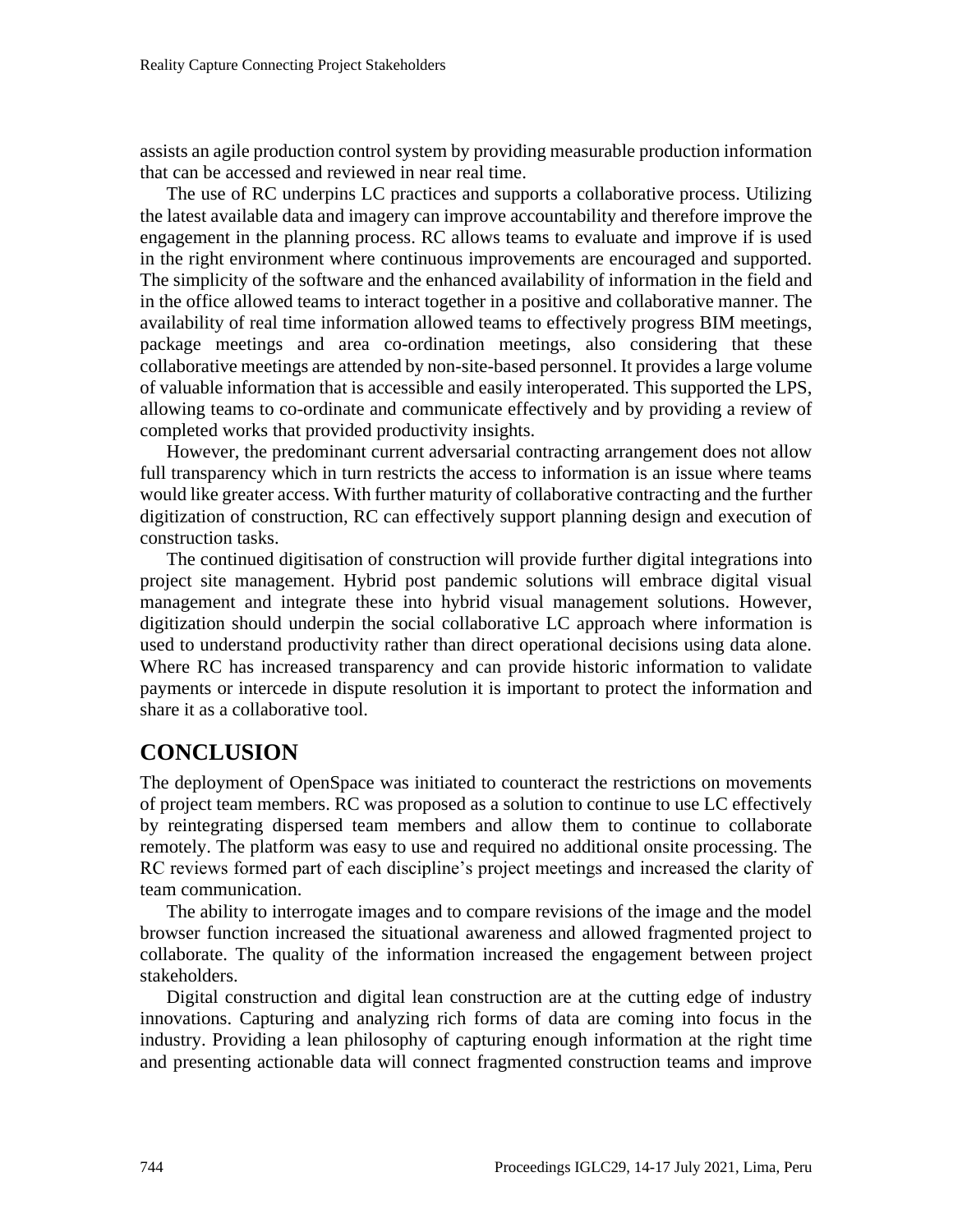assists an agile production control system by providing measurable production information that can be accessed and reviewed in near real time.

The use of RC underpins LC practices and supports a collaborative process. Utilizing the latest available data and imagery can improve accountability and therefore improve the engagement in the planning process. RC allows teams to evaluate and improve if is used in the right environment where continuous improvements are encouraged and supported. The simplicity of the software and the enhanced availability of information in the field and in the office allowed teams to interact together in a positive and collaborative manner. The availability of real time information allowed teams to effectively progress BIM meetings, package meetings and area co-ordination meetings, also considering that these collaborative meetings are attended by non-site-based personnel. It provides a large volume of valuable information that is accessible and easily interoperated. This supported the LPS, allowing teams to co-ordinate and communicate effectively and by providing a review of completed works that provided productivity insights.

However, the predominant current adversarial contracting arrangement does not allow full transparency which in turn restricts the access to information is an issue where teams would like greater access. With further maturity of collaborative contracting and the further digitization of construction, RC can effectively support planning design and execution of construction tasks.

The continued digitisation of construction will provide further digital integrations into project site management. Hybrid post pandemic solutions will embrace digital visual management and integrate these into hybrid visual management solutions. However, digitization should underpin the social collaborative LC approach where information is used to understand productivity rather than direct operational decisions using data alone. Where RC has increased transparency and can provide historic information to validate payments or intercede in dispute resolution it is important to protect the information and share it as a collaborative tool.

### **CONCLUSION**

The deployment of OpenSpace was initiated to counteract the restrictions on movements of project team members. RC was proposed as a solution to continue to use LC effectively by reintegrating dispersed team members and allow them to continue to collaborate remotely. The platform was easy to use and required no additional onsite processing. The RC reviews formed part of each discipline's project meetings and increased the clarity of team communication.

The ability to interrogate images and to compare revisions of the image and the model browser function increased the situational awareness and allowed fragmented project to collaborate. The quality of the information increased the engagement between project stakeholders.

Digital construction and digital lean construction are at the cutting edge of industry innovations. Capturing and analyzing rich forms of data are coming into focus in the industry. Providing a lean philosophy of capturing enough information at the right time and presenting actionable data will connect fragmented construction teams and improve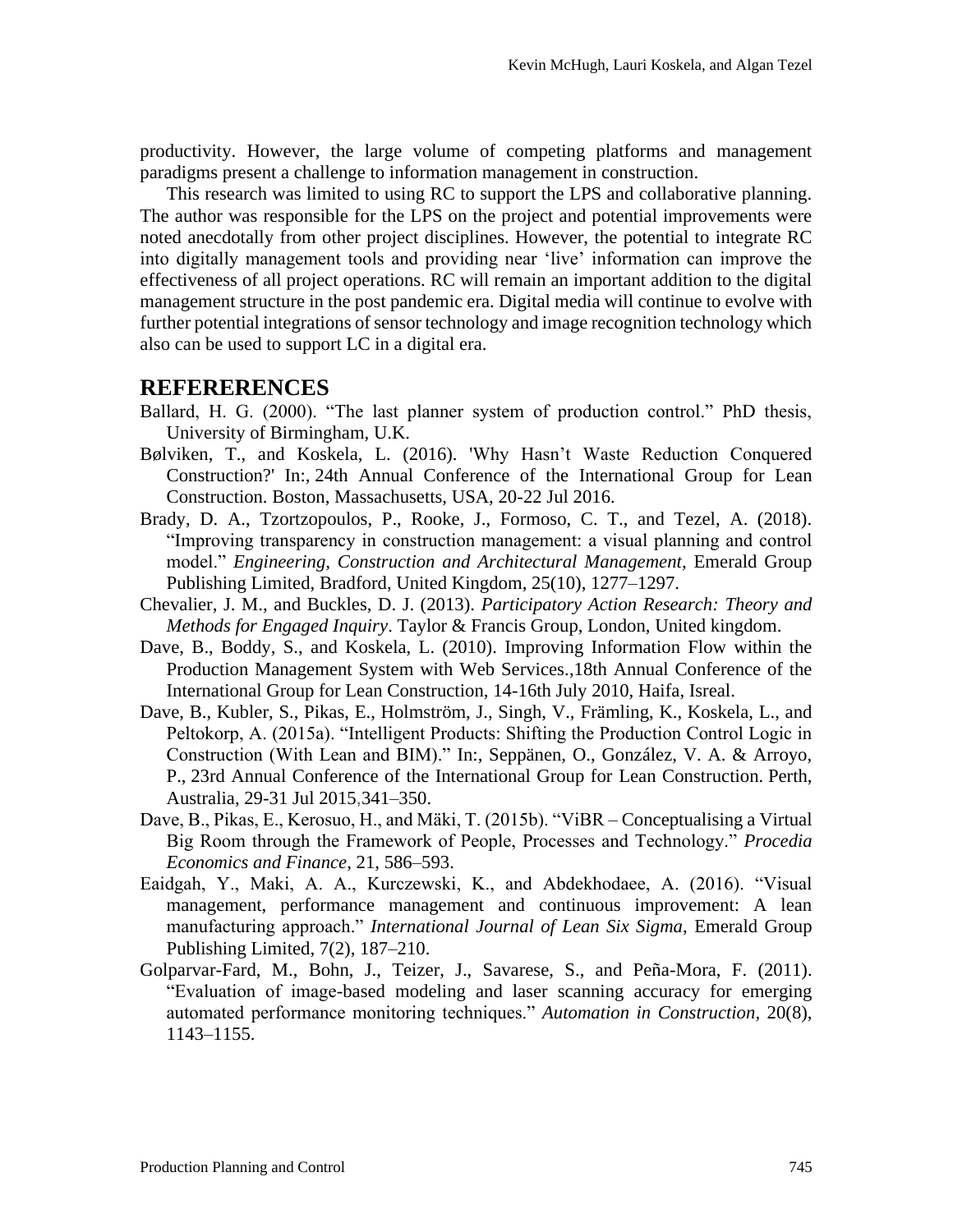productivity. However, the large volume of competing platforms and management paradigms present a challenge to information management in construction.

This research was limited to using RC to support the LPS and collaborative planning. The author was responsible for the LPS on the project and potential improvements were noted anecdotally from other project disciplines. However, the potential to integrate RC into digitally management tools and providing near 'live' information can improve the effectiveness of all project operations. RC will remain an important addition to the digital management structure in the post pandemic era. Digital media will continue to evolve with further potential integrations of sensor technology and image recognition technology which also can be used to support LC in a digital era.

#### **REFERERENCES**

- Ballard, H. G. (2000). "The last planner system of production control." PhD thesis, University of Birmingham, U.K.
- Bølviken, T., and Koskela, L. (2016). 'Why Hasn't Waste Reduction Conquered Construction?' In:, 24th Annual Conference of the International Group for Lean Construction. Boston, Massachusetts, USA, 20-22 Jul 2016.
- Brady, D. A., Tzortzopoulos, P., Rooke, J., Formoso, C. T., and Tezel, A. (2018). "Improving transparency in construction management: a visual planning and control model." *Engineering, Construction and Architectural Management*, Emerald Group Publishing Limited, Bradford, United Kingdom, 25(10), 1277–1297.
- Chevalier, J. M., and Buckles, D. J. (2013). *Participatory Action Research: Theory and Methods for Engaged Inquiry*. Taylor & Francis Group, London, United kingdom.
- Dave, B., Boddy, S., and Koskela, L. (2010). Improving Information Flow within the Production Management System with Web Services.,18th Annual Conference of the International Group for Lean Construction, 14-16th July 2010, Haifa, Isreal.
- Dave, B., Kubler, S., Pikas, E., Holmström, J., Singh, V., Främling, K., Koskela, L., and Peltokorp, A. (2015a). "Intelligent Products: Shifting the Production Control Logic in Construction (With Lean and BIM)." In:, Seppänen, O., González, V. A. & Arroyo, P., 23rd Annual Conference of the International Group for Lean Construction. Perth, Australia, 29-31 Jul 2015,341–350.
- Dave, B., Pikas, E., Kerosuo, H., and Mäki, T. (2015b). "ViBR Conceptualising a Virtual Big Room through the Framework of People, Processes and Technology." *Procedia Economics and Finance*, 21, 586–593.
- Eaidgah, Y., Maki, A. A., Kurczewski, K., and Abdekhodaee, A. (2016). "Visual management, performance management and continuous improvement: A lean manufacturing approach." *International Journal of Lean Six Sigma*, Emerald Group Publishing Limited, 7(2), 187–210.
- Golparvar-Fard, M., Bohn, J., Teizer, J., Savarese, S., and Peña-Mora, F. (2011). "Evaluation of image-based modeling and laser scanning accuracy for emerging automated performance monitoring techniques." *Automation in Construction*, 20(8), 1143–1155.